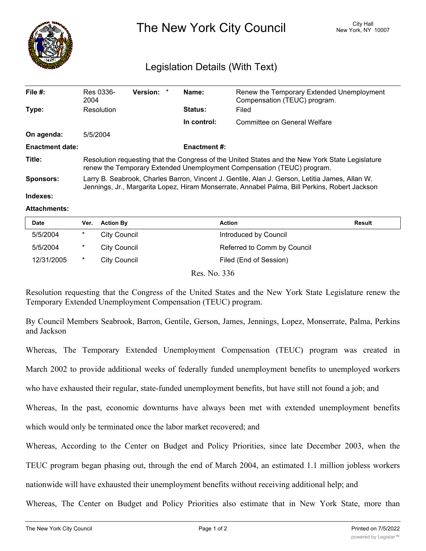

## The New York City Council New York, NY 10007

## Legislation Details (With Text)

| File $#$ :             | Res 0336-<br>2004                                                                                                                                                                               | <b>Version:</b> |  | Name:               | Renew the Temporary Extended Unemployment<br>Compensation (TEUC) program. |
|------------------------|-------------------------------------------------------------------------------------------------------------------------------------------------------------------------------------------------|-----------------|--|---------------------|---------------------------------------------------------------------------|
| Type:                  | Resolution                                                                                                                                                                                      |                 |  | Status:             | Filed                                                                     |
|                        |                                                                                                                                                                                                 |                 |  | In control:         | Committee on General Welfare                                              |
| On agenda:             | 5/5/2004                                                                                                                                                                                        |                 |  |                     |                                                                           |
| <b>Enactment date:</b> |                                                                                                                                                                                                 |                 |  | <b>Enactment #:</b> |                                                                           |
| Title:                 | Resolution requesting that the Congress of the United States and the New York State Legislature<br>renew the Temporary Extended Unemployment Compensation (TEUC) program.                       |                 |  |                     |                                                                           |
| <b>Sponsors:</b>       | Larry B. Seabrook, Charles Barron, Vincent J. Gentile, Alan J. Gerson, Letitia James, Allan W.<br>Jennings, Jr., Margarita Lopez, Hiram Monserrate, Annabel Palma, Bill Perkins, Robert Jackson |                 |  |                     |                                                                           |
| Indexes:               |                                                                                                                                                                                                 |                 |  |                     |                                                                           |

## **Attachments:**

|                     | Action                      | Result |
|---------------------|-----------------------------|--------|
| <b>City Council</b> | Introduced by Council       |        |
| City Council        | Referred to Comm by Council |        |
| <b>City Council</b> | Filed (End of Session)      |        |
|                     |                             |        |

Res. No. 336

Resolution requesting that the Congress of the United States and the New York State Legislature renew the Temporary Extended Unemployment Compensation (TEUC) program.

By Council Members Seabrook, Barron, Gentile, Gerson, James, Jennings, Lopez, Monserrate, Palma, Perkins and Jackson

Whereas, The Temporary Extended Unemployment Compensation (TEUC) program was created in

March 2002 to provide additional weeks of federally funded unemployment benefits to unemployed workers

who have exhausted their regular, state-funded unemployment benefits, but have still not found a job; and

Whereas, In the past, economic downturns have always been met with extended unemployment benefits which would only be terminated once the labor market recovered; and

Whereas, According to the Center on Budget and Policy Priorities, since late December 2003, when the TEUC program began phasing out, through the end of March 2004, an estimated 1.1 million jobless workers

nationwide will have exhausted their unemployment benefits without receiving additional help; and

Whereas, The Center on Budget and Policy Priorities also estimate that in New York State, more than